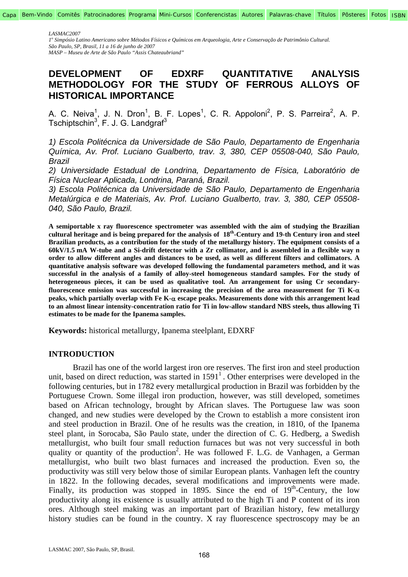*1o Simpósio Latino Americano sobre Métodos Físicos e Químicos em Arqueologia, Arte e Conservação de Patrimônio Cultural. São Paulo, SP, Brasil, 11 a 16 de junho de 2007* 

*MASP – Museu de Arte de São Paulo "Assis Chateaubriand"* 

# **DEVELOPMENT OF EDXRF QUANTITATIVE ANALYSIS METHODOLOGY FOR THE STUDY OF FERROUS ALLOYS OF HISTORICAL IMPORTANCE**

A. C. Neiva<sup>1</sup>, J. N. Dron<sup>1</sup>, B. F. Lopes<sup>1</sup>, C. R. Appoloni<sup>2</sup>, P. S. Parreira<sup>2</sup>, A. P. Tschiptschin<sup>3</sup>, F. J. G. Landgraf<sup>3</sup>

*1) Escola Politécnica da Universidade de São Paulo, Departamento de Engenharia Química, Av. Prof. Luciano Gualberto, trav. 3, 380, CEP 05508-040, São Paulo, Brazil* 

*2) Universidade Estadual de Londrina, Departamento de Física, Laboratório de Física Nuclear Aplicada, Londrina, Paraná, Brazil.* 

*3) Escola Politécnica da Universidade de São Paulo, Departamento de Engenharia Metalúrgica e de Materiais, Av. Prof. Luciano Gualberto, trav. 3, 380, CEP 05508- 040, São Paulo, Brazil.* 

**A semiportable x ray fluorescence spectrometer was assembled with the aim of studying the Brazilian cultural heritage and is being prepared for the analysis of 18th-Century and 19-th Century iron and steel Brazilian products, as a contribution for the study of the metallurgy history. The equipment consists of a 60kV/1.5 mA W-tube and a Si-drift detector with a Zr collimator, and is assembled in a flexible way n order to allow different angles and distances to be used, as well as different filters and collimators. A quantitative analysis software was developed following the fundamental parameters method, and it was successful in the analysis of a family of alloy-steel homogeneous standard samples. For the study of heterogeneous pieces, it can be used as qualitative tool. An arrangement for using Cr secondaryfluorescence emission was successful in increasing the precision of the area measurement for Ti K-**α **peaks, which partially overlap with Fe K-**α **escape peaks. Measurements done with this arrangement lead to an almost linear intensity-concentration ratio for Ti in low-allow standard NBS steels, thus allowing Ti estimates to be made for the Ipanema samples.** 

**Keywords:** historical metallurgy, Ipanema steelplant, EDXRF

# **INTRODUCTION**

Brazil has one of the world largest iron ore reserves. The first iron and steel production unit, based on direct reduction, was started in  $1591<sup>1</sup>$ . Other enterprises were developed in the following centuries, but in 1782 every metallurgical production in Brazil was forbidden by the Portuguese Crown. Some illegal iron production, however, was still developed, sometimes based on African technology, brought by African slaves. The Portuguese law was soon changed, and new studies were developed by the Crown to establish a more consistent iron and steel production in Brazil. One of he results was the creation, in 1810, of the Ipanema steel plant, in Sorocaba, São Paulo state, under the direction of C. G. Hedberg, a Swedish metallurgist, who built four small reduction furnaces but was not very successful in both quality or quantity of the production<sup>2</sup>. He was followed F. L.G. de Vanhagen, a German metallurgist, who built two blast furnaces and increased the production. Even so, the productivity was still very below those of similar European plants. Vanhagen left the country in 1822. In the following decades, several modifications and improvements were made. Finally, its production was stopped in 1895. Since the end of  $19<sup>th</sup>$ -Century, the low productivity along its existence is usually attributed to the high Ti and P content of its iron ores. Although steel making was an important part of Brazilian history, few metallurgy history studies can be found in the country. X ray fluorescence spectroscopy may be an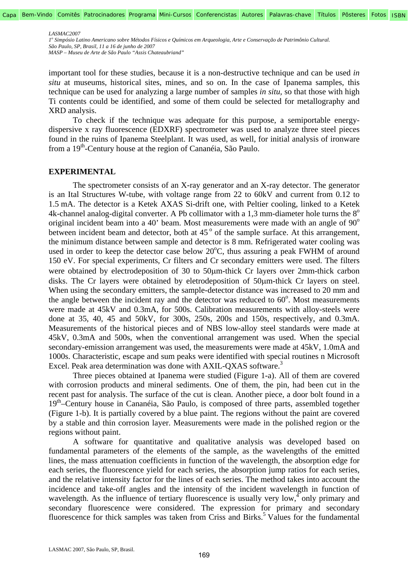*1o Simpósio Latino Americano sobre Métodos Físicos e Químicos em Arqueologia, Arte e Conservação de Patrimônio Cultural. São Paulo, SP, Brasil, 11 a 16 de junho de 2007 MASP – Museu de Arte de São Paulo "Assis Chateaubriand"* 

important tool for these studies, because it is a non-destructive technique and can be used *in situ* at museums, historical sites, mines, and so on. In the case of Ipanema samples, this technique can be used for analyzing a large number of samples *in situ,* so that those with high Ti contents could be identified, and some of them could be selected for metallography and XRD analysis.

To check if the technique was adequate for this purpose, a semiportable energydispersive x ray fluorescence (EDXRF) spectrometer was used to analyze three steel pieces found in the ruins of Ipanema Steelplant. It was used, as well, for initial analysis of ironware from a 19<sup>th</sup>-Century house at the region of Cananéia, São Paulo.

### **EXPERIMENTAL**

The spectrometer consists of an X-ray generator and an X-ray detector. The generator is an Ital Structures W-tube, with voltage range from 22 to 60kV and current from 0.12 to 1.5 mA. The detector is a Ketek AXAS Si-drift one, with Peltier cooling, linked to a Ketek 4k-channel analog-digital converter. A Pb collimator with a 1,3 mm-diameter hole turns the  $8^\circ$ original incident beam into a 40' beam. Most measurements were made with an angle of  $90^{\circ}$ between incident beam and detector, both at  $45^\circ$  of the sample surface. At this arrangement, the minimum distance between sample and detector is 8 mm. Refrigerated water cooling was used in order to keep the detector case below  $20^{\circ}$ C, thus assuring a peak FWHM of around 150 eV. For special experiments, Cr filters and Cr secondary emitters were used. The filters were obtained by electrodeposition of 30 to 50µm-thick Cr layers over 2mm-thick carbon disks. The Cr layers were obtained by eletrodeposition of 50µm-thick Cr layers on steel. When using the secondary emitters, the sample-detector distance was increased to 20 mm and the angle between the incident ray and the detector was reduced to  $60^\circ$ . Most measurements were made at 45kV and 0.3mA, for 500s. Calibration measurements with alloy-steels were done at 35, 40, 45 and 50kV, for 300s, 250s, 200s and 150s, respectively, and 0.3mA. Measurements of the historical pieces and of NBS low-alloy steel standards were made at 45kV, 0.3mA and 500s, when the conventional arrangement was used. When the special secondary-emission arrangement was used, the measurements were made at 45kV, 1.0mA and 1000s. Characteristic, escape and sum peaks were identified with special routines n Microsoft Excel. Peak area determination was done with AXIL-QXAS software.<sup>3</sup>

Three pieces obtained at Ipanema were studied (Figure 1-a). All of them are covered with corrosion products and mineral sediments. One of them, the pin, had been cut in the recent past for analysis. The surface of the cut is clean. Another piece, a door bolt found in a 19th–Century house in Cananéia, São Paulo, is composed of three parts, assembled together (Figure 1-b). It is partially covered by a blue paint. The regions without the paint are covered by a stable and thin corrosion layer. Measurements were made in the polished region or the regions without paint.

A software for quantitative and qualitative analysis was developed based on fundamental parameters of the elements of the sample, as the wavelengths of the emitted lines, the mass attenuation coefficients in function of the wavelength, the absorption edge for each series, the fluorescence yield for each series, the absorption jump ratios for each series, and the relative intensity factor for the lines of each series. The method takes into account the incidence and take-off angles and the intensity of the incident wavelength in function of wavelength. As the influence of tertiary fluorescence is usually very low,  $\phi$  only primary and secondary fluorescence were considered. The expression for primary and secondary fluorescence for thick samples was taken from Criss and Birks.<sup>5</sup> Values for the fundamental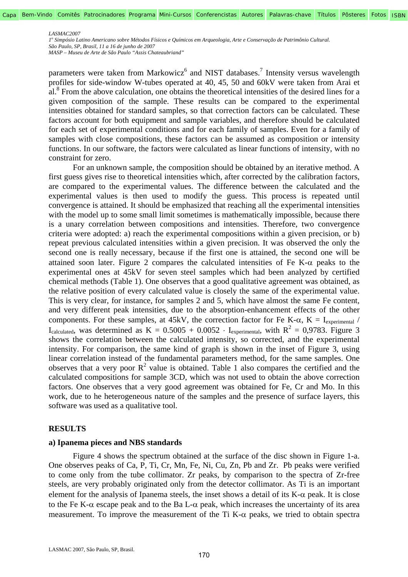*1o Simpósio Latino Americano sobre Métodos Físicos e Químicos em Arqueologia, Arte e Conservação de Patrimônio Cultural. São Paulo, SP, Brasil, 11 a 16 de junho de 2007* 

*MASP – Museu de Arte de São Paulo "Assis Chateaubriand"* 

parameters were taken from Markowicz<sup>6</sup> and NIST databases.<sup>7</sup> Intensity versus wavelength profiles for side-window W-tubes operated at 40, 45, 50 and 60kV were taken from Arai et  $a^{2}$ .<sup>8</sup> From the above calculation, one obtains the theoretical intensities of the desired lines for a given composition of the sample. These results can be compared to the experimental intensities obtained for standard samples, so that correction factors can be calculated. These factors account for both equipment and sample variables, and therefore should be calculated for each set of experimental conditions and for each family of samples. Even for a family of samples with close compositions, these factors can be assumed as composition or intensity functions. In our software, the factors were calculated as linear functions of intensity, with no constraint for zero.

For an unknown sample, the composition should be obtained by an iterative method. A first guess gives rise to theoretical intensities which, after corrected by the calibration factors, are compared to the experimental values. The difference between the calculated and the experimental values is then used to modify the guess. This process is repeated until convergence is attained. It should be emphasized that reaching all the experimental intensities with the model up to some small limit sometimes is mathematically impossible, because there is a unary correlation between compositions and intensities. Therefore, two convergence criteria were adopted: a) reach the experimental compositions within a given precision, or b) repeat previous calculated intensities within a given precision. It was observed the only the second one is really necessary, because if the first one is attained, the second one will be attained soon later. Figure 2 compares the calculated intensities of Fe K- $\alpha$  peaks to the experimental ones at 45kV for seven steel samples which had been analyzed by certified chemical methods (Table 1). One observes that a good qualitative agreement was obtained, as the relative position of every calculated value is closely the same of the experimental value. This is very clear, for instance, for samples 2 and 5, which have almost the same Fe content, and very different peak intensities, due to the absorption-enhancement effects of the other components. For these samples, at 45kV, the correction factor for Fe K- $\alpha$ , K = I<sub>experimental</sub> / I<sub>calculated</sub>, was determined as K =  $0.5005 + 0.0052 \cdot$  I<sub>experimental</sub>, with R<sup>2</sup> = 0,9783. Figure 3 shows the correlation between the calculated intensity, so corrected, and the experimental intensity. For comparison, the same kind of graph is shown in the inset of Figure 3, using linear correlation instead of the fundamental parameters method, for the same samples. One observes that a very poor  $R^2$  value is obtained. Table 1 also compares the certified and the calculated compositions for sample 3CD, which was not used to obtain the above correction factors. One observes that a very good agreement was obtained for Fe, Cr and Mo. In this work, due to he heterogeneous nature of the samples and the presence of surface layers, this software was used as a qualitative tool.

#### **RESULTS**

### **a) Ipanema pieces and NBS standards**

Figure 4 shows the spectrum obtained at the surface of the disc shown in Figure 1-a. One observes peaks of Ca, P, Ti, Cr, Mn, Fe, Ni, Cu, Zn, Pb and Zr. Pb peaks were verified to come only from the tube collimator. Zr peaks, by comparison to the spectra of Zr-free steels, are very probably originated only from the detector collimator. As Ti is an important element for the analysis of Ipanema steels, the inset shows a detail of its  $K-\alpha$  peak. It is close to the Fe K-α escape peak and to the Ba L-α peak, which increases the uncertainty of its area measurement. To improve the measurement of the Ti K- $\alpha$  peaks, we tried to obtain spectra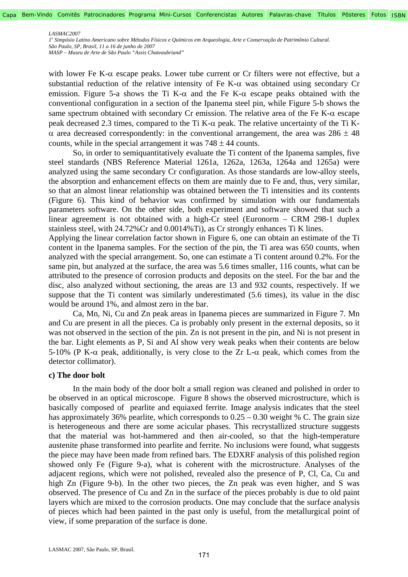*1o Simpósio Latino Americano sobre Métodos Físicos e Químicos em Arqueologia, Arte e Conservação de Patrimônio Cultural. São Paulo, SP, Brasil, 11 a 16 de junho de 2007* 

*MASP – Museu de Arte de São Paulo "Assis Chateaubriand"* 

with lower Fe K- $\alpha$  escape peaks. Lower tube current or Cr filters were not effective, but a substantial reduction of the relative intensity of Fe K- $\alpha$  was obtained using secondary Cr emission. Figure 5-a shows the Ti K- $\alpha$  and the Fe K- $\alpha$  escape peaks obtained with the conventional configuration in a section of the Ipanema steel pin, while Figure 5-b shows the same spectrum obtained with secondary Cr emission. The relative area of the Fe K- $\alpha$  escape peak decreased 2.3 times, compared to the Ti K-α peak. The relative uncertainty of the Ti Kα area decreased correspondently: in the conventional arrangement, the area was 286 ± 48 counts, while in the special arrangement it was  $748 \pm 44$  counts.

So, in order to semiquantitatively evaluate the Ti content of the Ipanema samples, five steel standards (NBS Reference Material 1261a, 1262a, 1263a, 1264a and 1265a) were analyzed using the same secondary Cr configuration. As those standards are low-alloy steels, the absorption and enhancement effects on them are mainly due to Fe and, thus, very similar, so that an almost linear relationship was obtained between the Ti intensities and its contents (Figure 6). This kind of behavior was confirmed by simulation with our fundamentals parameters software. On the other side, both experiment and software showed that such a linear agreement is not obtained with a high-Cr steel (Euronorm – CRM 298-1 duplex stainless steel, with 24.72%Cr and 0.0014%Ti), as Cr strongly enhances Ti K lines.

Applying the linear correlation factor shown in Figure 6, one can obtain an estimate of the Ti content in the Ipanema samples. For the section of the pin, the Ti area was 650 counts, when analyzed with the special arrangement. So, one can estimate a Ti content around 0.2%. For the same pin, but analyzed at the surface, the area was 5.6 times smaller, 116 counts, what can be attributed to the presence of corrosion products and deposits on the steel. For the bar and the disc, also analyzed without sectioning, the areas are 13 and 932 counts, respectively. If we suppose that the Ti content was similarly underestimated (5.6 times), its value in the disc would be around 1%, and almost zero in the bar.

Ca, Mn, Ni, Cu and Zn peak areas in Ipanema pieces are summarized in Figure 7. Mn and Cu are present in all the pieces. Ca is probably only present in the external deposits, so it was not observed in the section of the pin. Zn is not present in the pin, and Ni is not present in the bar. Light elements as P, Si and Al show very weak peaks when their contents are below 5-10% (P K-α peak, additionally, is very close to the Zr L-α peak, which comes from the detector collimator).

### **c) The door bolt**

In the main body of the door bolt a small region was cleaned and polished in order to be observed in an optical microscope. Figure 8 shows the observed microstructure, which is basically composed of pearlite and equiaxed ferrite. Image analysis indicates that the steel has approximately 36% pearlite, which corresponds to  $0.25 - 0.30$  weight % C. The grain size is heterogeneous and there are some acicular phases. This recrystallized structure suggests that the material was hot-hammered and then air-cooled, so that the high-temperature austenite phase transformed into pearlite and ferrite. No inclusions were found, what suggests the piece may have been made from refined bars. The EDXRF analysis of this polished region showed only Fe (Figure 9-a), what is coherent with the microstructure. Analyses of the adjacent regions, which were not polished, revealed also the presence of P, Cl, Ca, Cu and high Zn (Figure 9-b). In the other two pieces, the Zn peak was even higher, and S was observed. The presence of Cu and Zn in the surface of the pieces probably is due to old paint layers which are mixed to the corrosion products. One may conclude that the surface analysis of pieces which had been painted in the past only is useful, from the metallurgical point of view, if some preparation of the surface is done.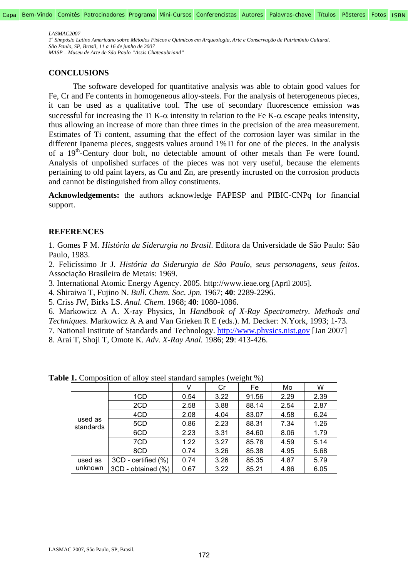*1o Simpósio Latino Americano sobre Métodos Físicos e Químicos em Arqueologia, Arte e Conservação de Patrimônio Cultural. São Paulo, SP, Brasil, 11 a 16 de junho de 2007 MASP – Museu de Arte de São Paulo "Assis Chateaubriand"* 

## **CONCLUSIONS**

The software developed for quantitative analysis was able to obtain good values for Fe, Cr and Fe contents in homogeneous alloy-steels. For the analysis of heterogeneous pieces, it can be used as a qualitative tool. The use of secondary fluorescence emission was successful for increasing the Ti K- $\alpha$  intensity in relation to the Fe K- $\alpha$  escape peaks intensity, thus allowing an increase of more than three times in the precision of the area measurement. Estimates of Ti content, assuming that the effect of the corrosion layer was similar in the different Ipanema pieces, suggests values around 1%Ti for one of the pieces. In the analysis of a 19<sup>th</sup>-Century door bolt, no detectable amount of other metals than Fe were found. Analysis of unpolished surfaces of the pieces was not very useful, because the elements pertaining to old paint layers, as Cu and Zn, are presently incrusted on the corrosion products and cannot be distinguished from alloy constituents.

**Acknowledgements:** the authors acknowledge FAPESP and PIBIC-CNPq for financial support.

# **REFERENCES**

1. Gomes F M. *História da Siderurgia no Brasil*. Editora da Universidade de São Paulo: São Paulo, 1983.

2. Felicíssimo Jr J. *História da Siderurgia de São Paulo, seus personagens, seus feitos*. Associação Brasileira de Metais: 1969.

3. International Atomic Energy Agency. 2005. http://www.ieae.org [April 2005].

4. Shiraiwa T, Fujino N. *Bull. Chem. Soc. Jpn.* 1967; **40**: 2289-2296.

5. Criss JW, Birks LS. *Anal. Chem.* 1968; **40**: 1080-1086.

6. Markowicz A A. X-ray Physics, In *Handbook of X-Ray Spectrometry. Methods and Techniques.* Markowicz A A and Van Grieken R E (eds.). M. Decker: N.York, 1993; 1-73.

7. National Institute of Standards and Technology. http://www.physics.nist.gov [Jan 2007]

8. Arai T, Shoji T, Omote K. *Adv. X-Ray Anal.* 1986; **29**: 413-426.

|                      |                     | v    | Cr   | Fe    | Mo   | W    |
|----------------------|---------------------|------|------|-------|------|------|
| used as<br>standards | 1CD                 | 0.54 | 3.22 | 91.56 | 2.29 | 2.39 |
|                      | 2CD                 | 2.58 | 3.88 | 88.14 | 2.54 | 2.87 |
|                      | 4CD                 | 2.08 | 4.04 | 83.07 | 4.58 | 6.24 |
|                      | 5CD                 | 0.86 | 2.23 | 88.31 | 7.34 | 1.26 |
|                      | 6CD                 | 2.23 | 3.31 | 84.60 | 8.06 | 1.79 |
|                      | 7CD                 | 1.22 | 3.27 | 85.78 | 4.59 | 5.14 |
|                      | 8CD                 | 0.74 | 3.26 | 85.38 | 4.95 | 5.68 |
| used as<br>unknown   | 3CD - certified (%) | 0.74 | 3.26 | 85.35 | 4.87 | 5.79 |
|                      | 3CD - obtained (%)  | 0.67 | 3.22 | 85.21 | 4.86 | 6.05 |

**Table 1.** Composition of alloy steel standard samples (weight %)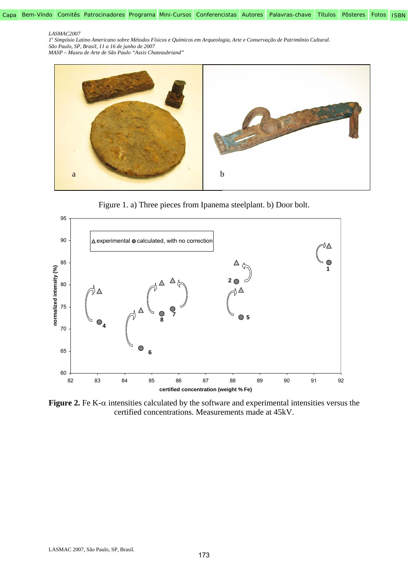*1o Simpósio Latino Americano sobre Métodos Físicos e Químicos em Arqueologia, Arte e Conservação de Patrimônio Cultural. São Paulo, SP, Brasil, 11 a 16 de junho de 2007* 



Figure 1. a) Three pieces from Ipanema steelplant. b) Door bolt.



**Figure 2.** Fe K- $\alpha$  intensities calculated by the software and experimental intensities versus the certified concentrations. Measurements made at 45kV.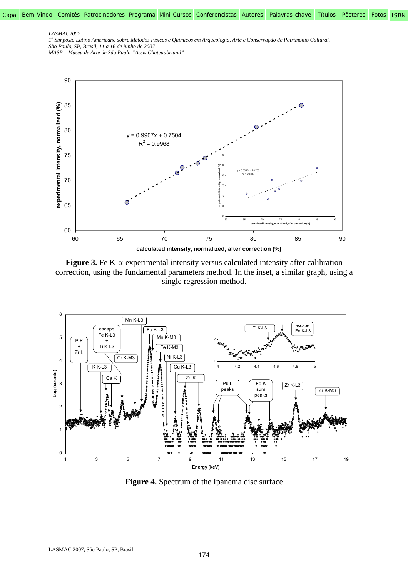Capa Bem-Vindo Comitês Patrocinadores Programa Mini-Cursos Conferencistas Autores Palavras-chave Títulos Pôsteres Fotos ISBN

#### *LASMAC2007*

*1o Simpósio Latino Americano sobre Métodos Físicos e Químicos em Arqueologia, Arte e Conservação de Patrimônio Cultural. São Paulo, SP, Brasil, 11 a 16 de junho de 2007* 



**Figure 3.** Fe K- $\alpha$  experimental intensity versus calculated intensity after calibration correction, using the fundamental parameters method. In the inset, a similar graph, using a single regression method.



**Figure 4.** Spectrum of the Ipanema disc surface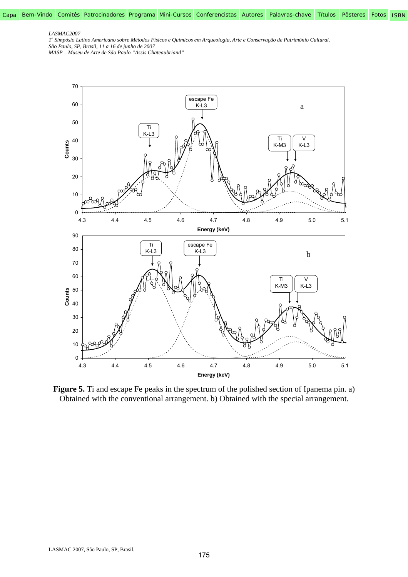Capa Bem-Vindo Comitês Patrocinadores Programa Mini-Cursos Conferencistas Autores Palavras-chave Títulos Pôsteres Fotos ISBN

#### *LASMAC2007*

*1o Simpósio Latino Americano sobre Métodos Físicos e Químicos em Arqueologia, Arte e Conservação de Patrimônio Cultural. São Paulo, SP, Brasil, 11 a 16 de junho de 2007* 



Figure 5. Ti and escape Fe peaks in the spectrum of the polished section of Ipanema pin. a) Obtained with the conventional arrangement. b) Obtained with the special arrangement.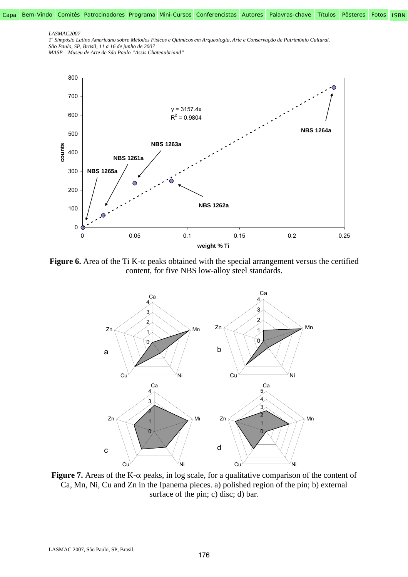Capa Bem-Vindo Comitês Patrocinadores Programa Mini-Cursos Conferencistas Autores Palavras-chave Títulos Pôsteres Fotos ISBN

#### *LASMAC2007*

*1o Simpósio Latino Americano sobre Métodos Físicos e Químicos em Arqueologia, Arte e Conservação de Patrimônio Cultural. São Paulo, SP, Brasil, 11 a 16 de junho de 2007* 



**Figure 6.** Area of the Ti K- $\alpha$  peaks obtained with the special arrangement versus the certified content, for five NBS low-alloy steel standards.



**Figure 7.** Areas of the K- $\alpha$  peaks, in log scale, for a qualitative comparison of the content of Ca, Mn, Ni, Cu and Zn in the Ipanema pieces. a) polished region of the pin; b) external surface of the pin; c) disc; d) bar.